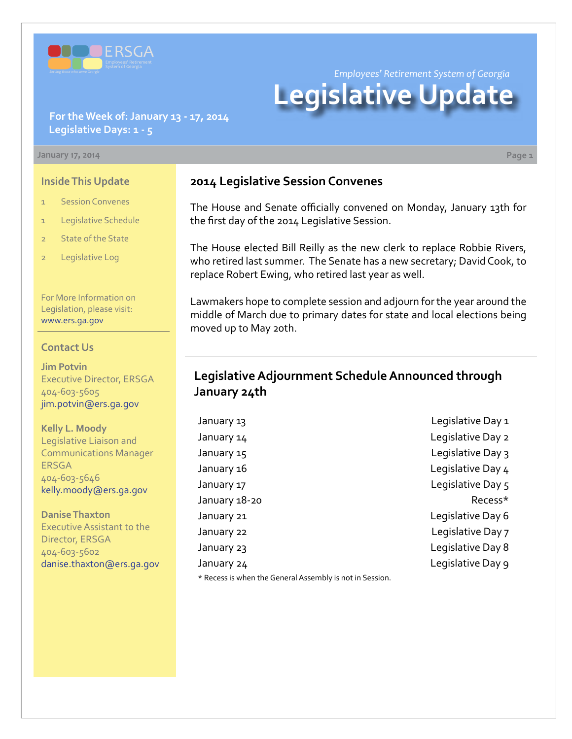

*Employees' Retirement System of Georgia*

# **Legislative Update**

#### **For the Week of: January 13 - 17, 2014 Legislative Days: 1 - 5**

#### **January 17, 2014 Page 1**

#### **Inside This Update**

- 1 Session Convenes
- 1 Legislative Schedule
- 2 State of the State
- 2 Legislative Log

For More Information on Legislation, please visit: [www.ers.ga.gov](http://www.ers.ga.gov/default.aspx)

#### **Contact Us**

**Jim Potvin** Executive Director, ERSGA 404-603-5605 jim.potvin@ers.ga.gov

**Kelly L. Moody** Legislative Liaison and Communications Manager ERSGA 404-603-5646 kelly.moody@ers.ga.gov

**Danise Thaxton** Executive Assistant to the Director, ERSGA 404-603-5602 danise.thaxton@ers.ga.gov

## **2014 Legislative Session Convenes**

The House and Senate officially convened on Monday, January 13th for the first day of the 2014 Legislative Session.

The House elected Bill Reilly as the new clerk to replace Robbie Rivers, who retired last summer. The Senate has a new secretary; David Cook, to replace Robert Ewing, who retired last year as well.

Lawmakers hope to complete session and adjourn for the year around the middle of March due to primary dates for state and local elections being moved up to May 20th.

# **Legislative Adjournment Schedule Announced through January 24th**

January 13 **January 13** Legislative Day 1 January 14 Legislative Day 2 January 15 diagnosis of the United States Contract Contract Contract Contract Contract Contract Contract Contract Contract Contract Contract Contract Contract Contract Contract Contract Contract Contract Contract Contract January 16 **Legislative Day 4** January 17 **Legislative Day 5** January 18-20 **Recess**\* January 21 **Legislative Day 6** January 22 Legislative Day 7 January 23 **Legislative Day 8** January 24 Legislative Day 9

\* Recess is when the General Assembly is not in Session.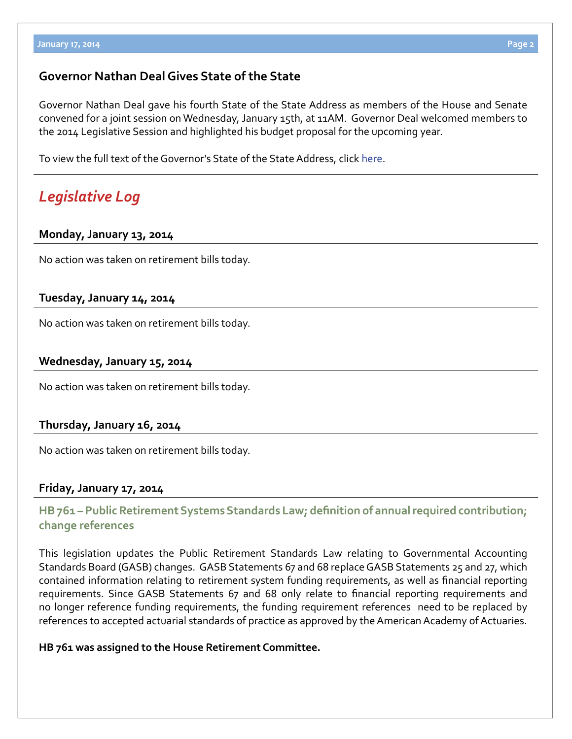## **Governor Nathan Deal Gives State of the State**

Governor Nathan Deal gave his fourth State of the State Address as members of the House and Senate convened for a joint session on Wednesday, January 15th, at 11AM. Governor Deal welcomed members to the 2014 Legislative Session and highlighted his budget proposal for the upcoming year.

To view the full text of the Governor's State of the State Address, click [here.](http://gov.georgia.gov/press-releases/2013-01-17/deal-focus-foundations-strengthen-georgia)

# *Legislative Log*

#### **Monday, January 13, 2014**

No action was taken on retirement bills today.

#### **Tuesday, January 14, 2014**

No action was taken on retirement bills today.

#### **Wednesday, January 15, 2014**

No action was taken on retirement bills today.

#### **Thursday, January 16, 2014**

No action was taken on retirement bills today.

#### **Friday, January 17, 2014**

## **HB [761 –](http://www.legis.ga.gov/legislation/en-US/Display/20132014/HB/761) Public Retirement Systems Standards Law; definition of annual required contribution; change references**

This legislation updates the Public Retirement Standards Law relating to Governmental Accounting Standards Board (GASB) changes. GASB Statements 67 and 68 replace GASB Statements 25 and 27, which contained information relating to retirement system funding requirements, as well as financial reporting requirements. Since GASB Statements 67 and 68 only relate to financial reporting requirements and no longer reference funding requirements, the funding requirement references need to be replaced by references to accepted actuarial standards of practice as approved by the American Academy of Actuaries.

#### **HB 761 was assigned to the House Retirement Committee.**